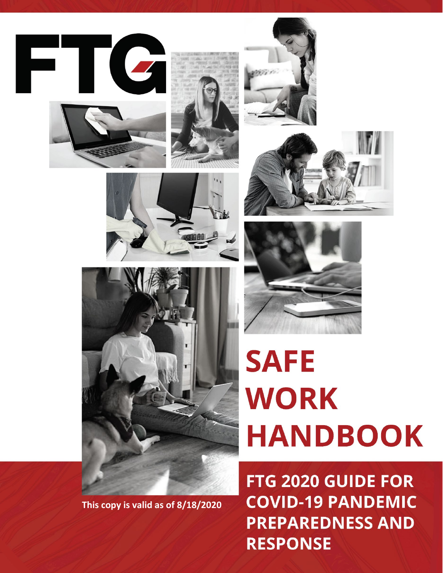















FTG 2020 GUIDE FOR **COVID-19 PANDEMIC PREPAREDNESS AND RESPONSE** 



**This copy is valid as of 8/18/2020**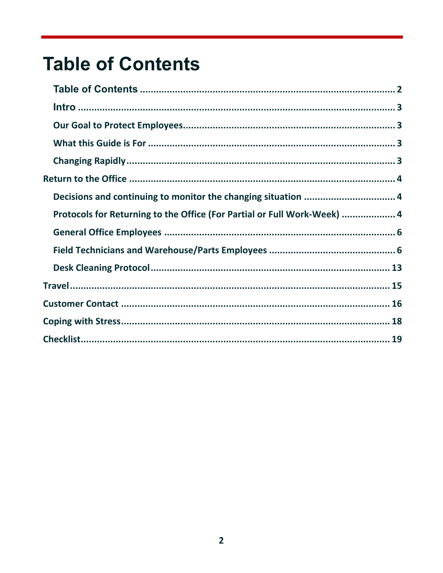# <span id="page-1-0"></span>**Table of Contents**

| Protocols for Returning to the Office (For Partial or Full Work-Week)  4 |  |
|--------------------------------------------------------------------------|--|
|                                                                          |  |
|                                                                          |  |
|                                                                          |  |
|                                                                          |  |
|                                                                          |  |
|                                                                          |  |
|                                                                          |  |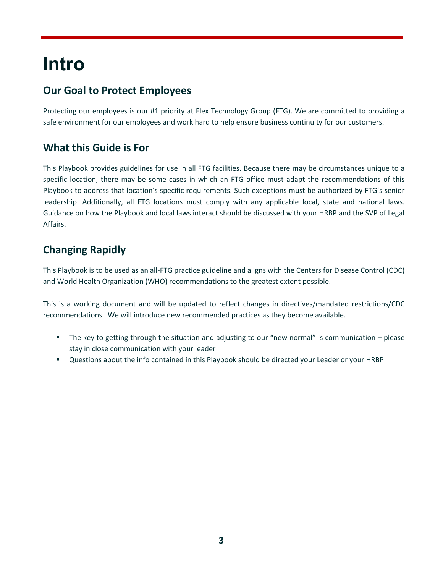# <span id="page-2-0"></span>**Intro**

# <span id="page-2-1"></span>**Our Goal to Protect Employees**

Protecting our employees is our #1 priority at Flex Technology Group (FTG). We are committed to providing a safe environment for our employees and work hard to help ensure business continuity for our customers.

## <span id="page-2-2"></span>**What this Guide is For**

This Playbook provides guidelines for use in all FTG facilities. Because there may be circumstances unique to a specific location, there may be some cases in which an FTG office must adapt the recommendations of this Playbook to address that location's specific requirements. Such exceptions must be authorized by FTG's senior leadership. Additionally, all FTG locations must comply with any applicable local, state and national laws. Guidance on how the Playbook and local laws interact should be discussed with your HRBP and the SVP of Legal Affairs.

# <span id="page-2-3"></span>**Changing Rapidly**

This Playbook is to be used as an all-FTG practice guideline and aligns with the Centers for Disease Control (CDC) and World Health Organization (WHO) recommendations to the greatest extent possible.

This is a working document and will be updated to reflect changes in directives/mandated restrictions/CDC recommendations. We will introduce new recommended practices as they become available.

- The key to getting through the situation and adjusting to our "new normal" is communication please stay in close communication with your leader
- Questions about the info contained in this Playbook should be directed your Leader or your HRBP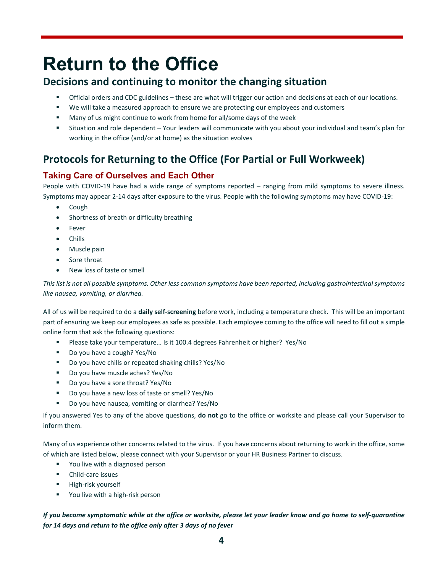# <span id="page-3-0"></span>**Return to the Office**

## <span id="page-3-1"></span>**Decisions and continuing to monitor the changing situation**

- Official orders and CDC guidelines these are what will trigger our action and decisions at each of our locations.
- We will take a measured approach to ensure we are protecting our employees and customers
- **Many of us might continue to work from home for all/some days of the week**
- Situation and role dependent Your leaders will communicate with you about your individual and team's plan for working in the office (and/or at home) as the situation evolves

# <span id="page-3-2"></span>**Protocols for Returning to the Office (For Partial or Full Workweek)**

## **Taking Care of Ourselves and Each Other**

People with COVID-19 have had a wide range of symptoms reported – ranging from mild symptoms to severe illness. Symptoms may appear 2-14 days after exposure to the virus. People with the following symptoms may have COVID-19:

- Cough
- Shortness of breath or difficulty breathing
- Fever
- Chills
- Muscle pain
- Sore throat
- New loss of taste or smell

*This list is not all possible symptoms. Other less common symptoms have been reported, including gastrointestinal symptoms like nausea, vomiting, or diarrhea.*

All of us will be required to do a **daily self-screening** before work, including a temperature check. This will be an important part of ensuring we keep our employees as safe as possible. Each employee coming to the office will need to fill out a simple online form that ask the following questions:

- Please take your temperature... Is it 100.4 degrees Fahrenheit or higher? Yes/No
- Do you have a cough? Yes/No
- Do you have chills or repeated shaking chills? Yes/No
- Do you have muscle aches? Yes/No
- Do you have a sore throat? Yes/No
- Do you have a new loss of taste or smell? Yes/No
- Do you have nausea, vomiting or diarrhea? Yes/No

If you answered Yes to any of the above questions, **do not** go to the office or worksite and please call your Supervisor to inform them.

Many of us experience other concerns related to the virus. If you have concerns about returning to work in the office, some of which are listed below, please connect with your Supervisor or your HR Business Partner to discuss.

- **•** You live with a diagnosed person
- **•** Child-care issues
- **High-risk yourself**
- **•** You live with a high-risk person

*If you become symptomatic while at the office or worksite, please let your leader know and go home to self-quarantine for 14 days and return to the office only after 3 days of no fever*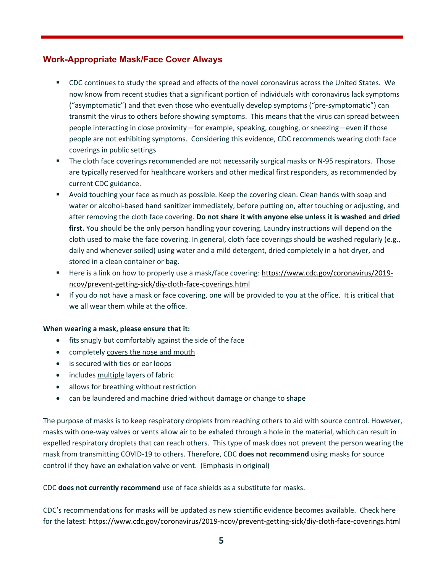### **Work-Appropriate Mask/Face Cover Always**

- CDC continues to study the spread and effects of the novel coronavirus across the United States. We now know from recent studies that a significant portion of individuals with coronavirus lack symptoms ("asymptomatic") and that even those who eventually develop symptoms ("pre-symptomatic") can transmit the virus to others before showing symptoms. This means that the virus can spread between people interacting in close proximity—for example, speaking, coughing, or sneezing—even if those people are not exhibiting symptoms. Considering this evidence, CDC recommends wearing cloth face coverings in public settings
- **The cloth face coverings recommended are not necessarily surgical masks or N-95 respirators. Those** are typically reserved for healthcare workers and other medical first responders, as recommended by current CDC guidance.
- Avoid touching your face as much as possible. Keep the covering clean. Clean hands with soap and water or alcohol-based hand sanitizer immediately, before putting on, after touching or adjusting, and after removing the cloth face covering. **Do not share it with anyone else unless it is washed and dried first.** You should be the only person handling your covering. Laundry instructions will depend on the cloth used to make the face covering. In general, cloth face coverings should be washed regularly (e.g., daily and whenever soiled) using water and a mild detergent, dried completely in a hot dryer, and stored in a clean container or bag.
- Here is a link on how to properly use a mask/face covering: [https://www.cdc.gov/coronavirus/2019](https://www.cdc.gov/coronavirus/2019-ncov/prevent-getting-sick/diy-cloth-face-coverings.html) [ncov/prevent-getting-sick/diy-cloth-face-coverings.html](https://www.cdc.gov/coronavirus/2019-ncov/prevent-getting-sick/diy-cloth-face-coverings.html)
- If you do not have a mask or face covering, one will be provided to you at the office. It is critical that we all wear them while at the office.

#### **When wearing a mask, please ensure that it:**

- fits snugly but comfortably against the side of the face
- completely covers the nose and mouth
- is secured with ties or ear loops
- includes multiple layers of fabric
- allows for breathing without restriction
- can be laundered and machine dried without damage or change to shape

The purpose of masks is to keep respiratory droplets from reaching others to aid with source control. However, masks with one-way valves or vents allow air to be exhaled through a hole in the material, which can result in expelled respiratory droplets that can reach others. This type of mask does not prevent the person wearing the mask from transmitting COVID-19 to others. Therefore, CDC **does not recommend** using masks for source control if they have an exhalation valve or vent. (Emphasis in original)

#### CDC **does not currently recommend** use of face shields as a substitute for masks.

CDC's recommendations for masks will be updated as new scientific evidence becomes available. Check here for the latest:<https://www.cdc.gov/coronavirus/2019-ncov/prevent-getting-sick/diy-cloth-face-coverings.html>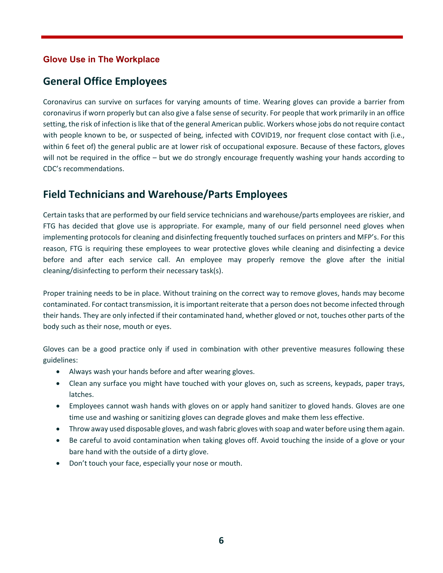## **Glove Use in The Workplace**

## <span id="page-5-0"></span>**General Office Employees**

Coronavirus can survive on surfaces for varying amounts of time. Wearing gloves can provide a barrier from coronavirus if worn properly but can also give a false sense of security. For people that work primarily in an office setting, the risk of infection is like that of the general American public. Workers whose jobs do not require contact with people known to be, or suspected of being, infected with COVID19, nor frequent close contact with (i.e., within 6 feet of) the general public are at lower risk of occupational exposure. Because of these factors, gloves will not be required in the office – but we do strongly encourage frequently washing your hands according to CDC's recommendations.

## <span id="page-5-1"></span>**Field Technicians and Warehouse/Parts Employees**

Certain tasks that are performed by our field service technicians and warehouse/parts employees are riskier, and FTG has decided that glove use is appropriate. For example, many of our field personnel need gloves when implementing protocols for cleaning and disinfecting frequently touched surfaces on printers and MFP's. For this reason, FTG is requiring these employees to wear protective gloves while cleaning and disinfecting a device before and after each service call. An employee may properly remove the glove after the initial cleaning/disinfecting to perform their necessary task(s).

Proper training needs to be in place. Without training on the correct way to remove gloves, hands may become contaminated. For contact transmission, it is important reiterate that a person does not become infected through their hands. They are only infected if their contaminated hand, whether gloved or not, touches other parts of the body such as their nose, mouth or eyes.

Gloves can be a good practice only if used in combination with other preventive measures following these guidelines:

- Always wash your hands before and after wearing gloves.
- Clean any surface you might have touched with your gloves on, such as screens, keypads, paper trays, latches.
- Employees cannot wash hands with gloves on or apply hand sanitizer to gloved hands. Gloves are one time use and washing or sanitizing gloves can degrade gloves and make them less effective.
- Throw away used disposable gloves, and wash fabric gloves with soap and water before using them again.
- Be careful to avoid contamination when taking gloves off. Avoid touching the inside of a glove or your bare hand with the outside of a dirty glove.
- Don't touch your face, especially your nose or mouth.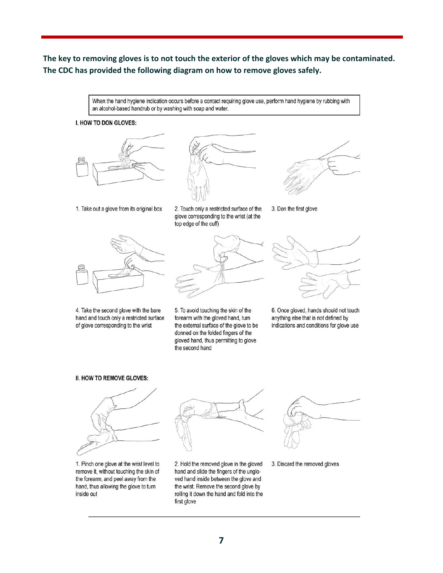## **The key to removing gloves is to not touch the exterior of the gloves which may be contaminated. The CDC has provided the following diagram on how to remove gloves safely.**

When the hand hygiene indication occurs before a contact requiring glove use, perform hand hygiene by rubbing with an alcohol-based handrub or by washing with soap and water.

#### I. HOW TO DON GLOVES:







1. Take out a glove from its original box

2. Touch only a restricted surface of the glove corresponding to the wrist (at the top edge of the cuff)



4. Take the second glove with the bare hand and touch only a restricted surface of glove corresponding to the wrist



5. To avoid touching the skin of the forearm with the gloved hand, turn the external surface of the glove to be donned on the folded fingers of the gloved hand, thus permitting to glove the second hand



3. Don the first glove



6. Once gloved, hands should not touch anything else that is not defined by indications and conditions for glove use

#### II. HOW TO REMOVE GLOVES:



1. Pinch one glove at the wrist level to remove it, without touching the skin of the forearm, and peel away from the hand, thus allowing the glove to turn inside out



2. Hold the removed glove in the gloved hand and slide the fingers of the ungloved hand inside between the glove and the wrist. Remove the second glove by rolling it down the hand and fold into the first glove



3. Discard the removed gloves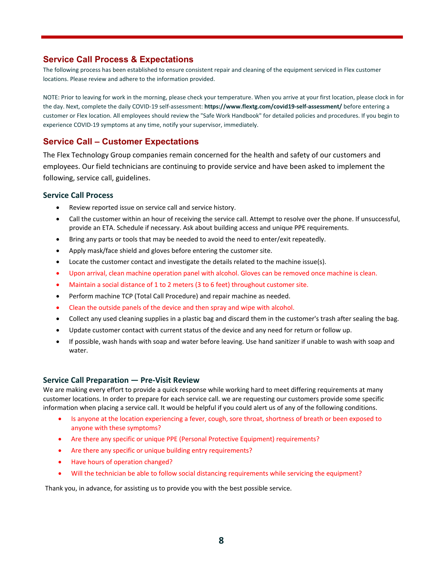#### **Service Call Process & Expectations**

The following process has been established to ensure consistent repair and cleaning of the equipment serviced in Flex customer locations. Please review and adhere to the information provided.

NOTE: Prior to leaving for work in the morning, please check your temperature. When you arrive at your first location, please clock in for the day. Next, complete the daily COVID-19 self-assessment: **https://www.flextg.com/covid19-self-assessment/** before entering a customer or Flex location. All employees should review the "Safe Work Handbook" for detailed policies and procedures. If you begin to experience COVID-19 symptoms at any time, notify your supervisor, immediately.

#### **Service Call – Customer Expectations**

The Flex Technology Group companies remain concerned for the health and safety of our customers and employees. Our field technicians are continuing to provide service and have been asked to implement the following, service call, guidelines.

#### **Service Call Process**

- Review reported issue on service call and service history.
- Call the customer within an hour of receiving the service call. Attempt to resolve over the phone. If unsuccessful, provide an ETA. Schedule if necessary. Ask about building access and unique PPE requirements.
- Bring any parts or tools that may be needed to avoid the need to enter/exit repeatedly.
- Apply mask/face shield and gloves before entering the customer site.
- Locate the customer contact and investigate the details related to the machine issue(s).
- Upon arrival, clean machine operation panel with alcohol. Gloves can be removed once machine is clean.
- Maintain a social distance of 1 to 2 meters (3 to 6 feet) throughout customer site.
- Perform machine TCP (Total Call Procedure) and repair machine as needed.
- Clean the outside panels of the device and then spray and wipe with alcohol.
- Collect any used cleaning supplies in a plastic bag and discard them in the customer's trash after sealing the bag.
- Update customer contact with current status of the device and any need for return or follow up.
- If possible, wash hands with soap and water before leaving. Use hand sanitizer if unable to wash with soap and water.

#### **Service Call Preparation — Pre-Visit Review**

We are making every effort to provide a quick response while working hard to meet differing requirements at many customer locations. In order to prepare for each service call. we are requesting our customers provide some specific information when placing a service call. It would be helpful if you could alert us of any of the following conditions.

- Is anyone at the location experiencing a fever, cough, sore throat, shortness of breath or been exposed to anyone with these symptoms?
- Are there any specific or unique PPE (Personal Protective Equipment) requirements?
- Are there any specific or unique building entry requirements?
- Have hours of operation changed?
- Will the technician be able to follow social distancing requirements while servicing the equipment?

Thank you, in advance, for assisting us to provide you with the best possible service.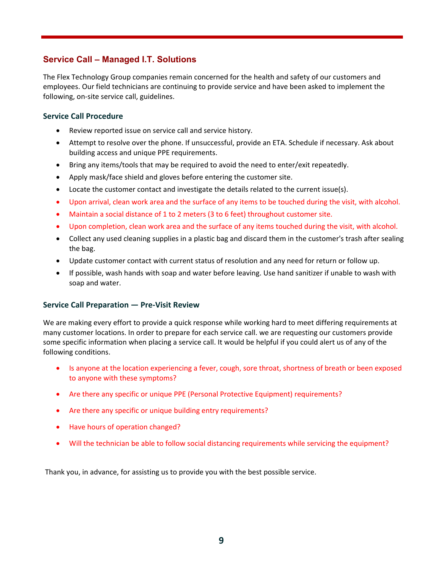## **Service Call – Managed I.T. Solutions**

The Flex Technology Group companies remain concerned for the health and safety of our customers and employees. Our field technicians are continuing to provide service and have been asked to implement the following, on-site service call, guidelines.

#### **Service Call Procedure**

- Review reported issue on service call and service history.
- Attempt to resolve over the phone. If unsuccessful, provide an ETA. Schedule if necessary. Ask about building access and unique PPE requirements.
- Bring any items/tools that may be required to avoid the need to enter/exit repeatedly.
- Apply mask/face shield and gloves before entering the customer site.
- Locate the customer contact and investigate the details related to the current issue(s).
- Upon arrival, clean work area and the surface of any items to be touched during the visit, with alcohol.
- Maintain a social distance of 1 to 2 meters (3 to 6 feet) throughout customer site.
- Upon completion, clean work area and the surface of any items touched during the visit, with alcohol.
- Collect any used cleaning supplies in a plastic bag and discard them in the customer's trash after sealing the bag.
- Update customer contact with current status of resolution and any need for return or follow up.
- If possible, wash hands with soap and water before leaving. Use hand sanitizer if unable to wash with soap and water.

#### **Service Call Preparation — Pre-Visit Review**

We are making every effort to provide a quick response while working hard to meet differing requirements at many customer locations. In order to prepare for each service call. we are requesting our customers provide some specific information when placing a service call. It would be helpful if you could alert us of any of the following conditions.

- Is anyone at the location experiencing a fever, cough, sore throat, shortness of breath or been exposed to anyone with these symptoms?
- Are there any specific or unique PPE (Personal Protective Equipment) requirements?
- Are there any specific or unique building entry requirements?
- Have hours of operation changed?
- Will the technician be able to follow social distancing requirements while servicing the equipment?

Thank you, in advance, for assisting us to provide you with the best possible service.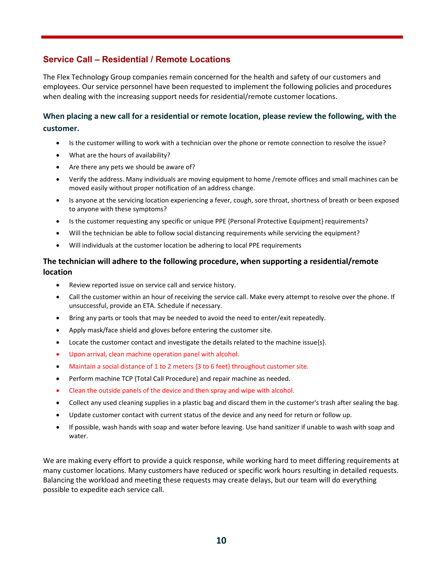## **Service Call – Residential / Remote Locations**

The Flex Technology Group companies remain concerned for the health and safety of our customers and employees. Our service personnel have been requested to implement the following policies and procedures when dealing with the increasing support needs for residential/remote customer locations.

## **When placing a new call for a residential or remote location, please review the following, with the customer.**

- Is the customer willing to work with a technician over the phone or remote connection to resolve the issue?
- What are the hours of availability?
- Are there any pets we should be aware of?
- Verify the address. Many individuals are moving equipment to home /remote offices and small machines can be moved easily without proper notification of an address change.
- Is anyone at the servicing location experiencing a fever, cough, sore throat, shortness of breath or been exposed to anyone with these symptoms?
- Is the customer requesting any specific or unique PPE {Personal Protective Equipment} requirements?
- Will the technician be able to follow social distancing requirements while servicing the equipment?
- Will individuals at the customer location be adhering to local PPE requirements

#### **The technician will adhere to the following procedure, when supporting a residential/remote location**

- Review reported issue on service call and service history.
- Call the customer within an hour of receiving the service call. Make every attempt to resolve over the phone. If unsuccessful, provide an ETA. Schedule if necessary.
- Bring any parts or tools that may be needed to avoid the need to enter/exit repeatedly.
- Apply mask/face shield and gloves before entering the customer site.
- Locate the customer contact and investigate the details related to the machine issue{s}.
- Upon arrival, clean machine operation panel with alcohol.
- Maintain a social distance of 1 to 2 meters {3 to 6 feet} throughout customer site.
- Perform machine TCP {Total Call Procedure} and repair machine as needed.
- Clean the outside panels of the device and then spray and wipe with alcohol.
- Collect any used cleaning supplies in a plastic bag and discard them in the customer's trash after sealing the bag.
- Update customer contact with current status of the device and any need for return or follow up.
- If possible, wash hands with soap and water before leaving. Use hand sanitizer if unable to wash with soap and water.

We are making every effort to provide a quick response, while working hard to meet differing requirements at many customer locations. Many customers have reduced or specific work hours resulting in detailed requests. Balancing the workload and meeting these requests may create delays, but our team will do everything possible to expedite each service call.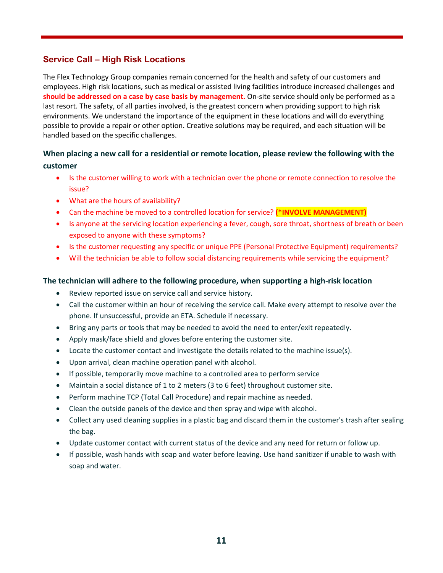## **Service Call – High Risk Locations**

The Flex Technology Group companies remain concerned for the health and safety of our customers and employees. High risk locations, such as medical or assisted living facilities introduce increased challenges and **should be addressed on a case by case basis by management.** On-site service should only be performed as a last resort. The safety, of all parties involved, is the greatest concern when providing support to high risk environments. We understand the importance of the equipment in these locations and will do everything possible to provide a repair or other option. Creative solutions may be required, and each situation will be handled based on the specific challenges.

## **When placing a new call for a residential or remote location, please review the following with the customer**

- Is the customer willing to work with a technician over the phone or remote connection to resolve the issue?
- What are the hours of availability?
- Can the machine be moved to a controlled location for service? **(\*INVOLVE MANAGEMENT)**
- Is anyone at the servicing location experiencing a fever, cough, sore throat, shortness of breath or been exposed to anyone with these symptoms?
- Is the customer requesting any specific or unique PPE (Personal Protective Equipment) requirements?
- Will the technician be able to follow social distancing requirements while servicing the equipment?

#### **The technician will adhere to the following procedure, when supporting a high-risk location**

- Review reported issue on service call and service history.
- Call the customer within an hour of receiving the service call. Make every attempt to resolve over the phone. If unsuccessful, provide an ETA. Schedule if necessary.
- Bring any parts or tools that may be needed to avoid the need to enter/exit repeatedly.
- Apply mask/face shield and gloves before entering the customer site.
- Locate the customer contact and investigate the details related to the machine issue(s).
- Upon arrival, clean machine operation panel with alcohol.
- If possible, temporarily move machine to a controlled area to perform service
- Maintain a social distance of 1 to 2 meters (3 to 6 feet) throughout customer site.
- Perform machine TCP (Total Call Procedure) and repair machine as needed.
- Clean the outside panels of the device and then spray and wipe with alcohol.
- Collect any used cleaning supplies in a plastic bag and discard them in the customer's trash after sealing the bag.
- Update customer contact with current status of the device and any need for return or follow up.
- If possible, wash hands with soap and water before leaving. Use hand sanitizer if unable to wash with soap and water.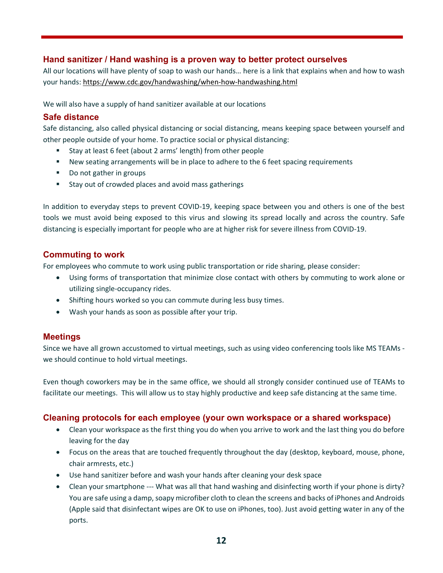### **Hand sanitizer / Hand washing is a proven way to better protect ourselves**

All our locations will have plenty of soap to wash our hands… here is a link that explains when and how to wash your hands:<https://www.cdc.gov/handwashing/when-how-handwashing.html>

We will also have a supply of hand sanitizer available at our locations

#### **Safe distance**

Safe distancing, also called physical distancing or social distancing, means keeping space between yourself and other people outside of your home. To practice social or physical distancing:

- Stay at least 6 feet (about 2 arms' length) from other people
- New seating arrangements will be in place to adhere to the 6 feet spacing requirements
- Do not gather in groups
- **Stay out of crowded places and avoid mass gatherings**

In addition to everyday steps to prevent COVID-19, keeping space between you and others is one of the best tools we must avoid being exposed to this virus and slowing its spread locally and across the country. Safe distancing is especially important for people who are at higher risk for severe illness from COVID-19.

#### **Commuting to work**

For employees who commute to work using public transportation or ride sharing, please consider:

- Using forms of transportation that minimize close contact with others by commuting to work alone or utilizing single-occupancy rides.
- Shifting hours worked so you can commute during less busy times.
- Wash your hands as soon as possible after your trip.

#### **Meetings**

Since we have all grown accustomed to virtual meetings, such as using video conferencing tools like MS TEAMs we should continue to hold virtual meetings.

Even though coworkers may be in the same office, we should all strongly consider continued use of TEAMs to facilitate our meetings. This will allow us to stay highly productive and keep safe distancing at the same time.

#### **Cleaning protocols for each employee (your own workspace or a shared workspace)**

- Clean your workspace as the first thing you do when you arrive to work and the last thing you do before leaving for the day
- Focus on the areas that are touched frequently throughout the day (desktop, keyboard, mouse, phone, chair armrests, etc.)
- Use hand sanitizer before and wash your hands after cleaning your desk space
- Clean your smartphone --- What was all that hand washing and disinfecting worth if your phone is dirty? You are safe using a damp, soapy microfiber cloth to clean the screens and backs of iPhones and Androids (Apple said that disinfectant wipes are OK to use on iPhones, too). Just avoid getting water in any of the ports.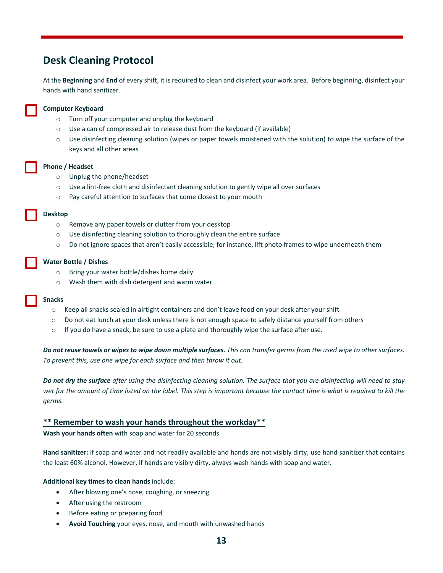## <span id="page-12-0"></span>**Desk Cleaning Protocol**

At the **Beginning** and **End** of every shift, it is required to clean and disinfect your work area. Before beginning, disinfect your hands with hand sanitizer.

#### **Computer Keyboard**

- o Turn off your computer and unplug the keyboard
- $\circ$  Use a can of compressed air to release dust from the keyboard (if available)
- o Use disinfecting cleaning solution (wipes or paper towels moistened with the solution) to wipe the surface of the keys and all other areas

#### **Phone / Headset**

- o Unplug the phone/headset
- o Use a lint-free cloth and disinfectant cleaning solution to gently wipe all over surfaces
- o Pay careful attention to surfaces that come closest to your mouth

#### **Desktop**

- o Remove any paper towels or clutter from your desktop
- o Use disinfecting cleaning solution to thoroughly clean the entire surface
- $\circ$  Do not ignore spaces that aren't easily accessible; for instance, lift photo frames to wipe underneath them

#### **Water Bottle / Dishes**

- o Bring your water bottle/dishes home daily
- o Wash them with dish detergent and warm water

#### **Snacks**

- o Keep all snacks sealed in airtight containers and don't leave food on your desk after your shift
- o Do not eat lunch at your desk unless there is not enough space to safely distance yourself from others
- $\circ$  If you do have a snack, be sure to use a plate and thoroughly wipe the surface after use.

*Do not reuse towels or wipes to wipe down multiple surfaces. This can transfer germs from the used wipe to other surfaces. To prevent this, use one wipe for each surface and then throw it out.*

*Do not dry the surface after using the disinfecting cleaning solution. The surface that you are disinfecting will need to stay wet for the amount of time listed on the label. This step is important because the contact time is what is required to kill the germs.*

#### **\*\* Remember to wash your hands throughout the workday\*\***

**Wash your hands often** with soap and water for 20 seconds

**Hand sanitizer:** if soap and water and not readily available and hands are not visibly dirty, use hand sanitizer that contains the least 60% alcohol. However, if hands are visibly dirty, always wash hands with soap and water.

#### **Additional key times to clean hands** include:

- After blowing one's nose, coughing, or sneezing
- After using the restroom
- Before eating or preparing food
- **Avoid Touching** your eyes, nose, and mouth with unwashed hands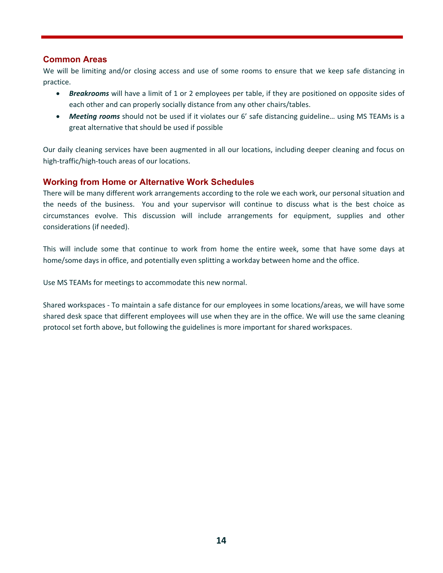#### **Common Areas**

We will be limiting and/or closing access and use of some rooms to ensure that we keep safe distancing in practice.

- *Breakrooms* will have a limit of 1 or 2 employees per table, if they are positioned on opposite sides of each other and can properly socially distance from any other chairs/tables.
- *Meeting rooms* should not be used if it violates our 6' safe distancing guideline… using MS TEAMs is a great alternative that should be used if possible

Our daily cleaning services have been augmented in all our locations, including deeper cleaning and focus on high-traffic/high-touch areas of our locations.

### **Working from Home or Alternative Work Schedules**

There will be many different work arrangements according to the role we each work, our personal situation and the needs of the business. You and your supervisor will continue to discuss what is the best choice as circumstances evolve. This discussion will include arrangements for equipment, supplies and other considerations (if needed).

This will include some that continue to work from home the entire week, some that have some days at home/some days in office, and potentially even splitting a workday between home and the office.

Use MS TEAMs for meetings to accommodate this new normal.

Shared workspaces - To maintain a safe distance for our employees in some locations/areas, we will have some shared desk space that different employees will use when they are in the office. We will use the same cleaning protocol set forth above, but following the guidelines is more important for shared workspaces.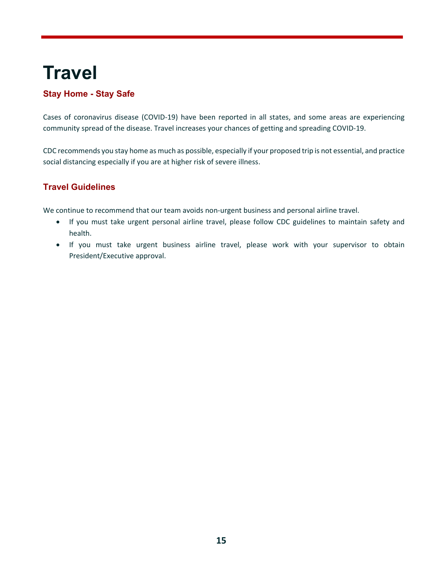# <span id="page-14-0"></span>**Travel**

## **Stay Home - Stay Safe**

Cases of coronavirus disease (COVID-19) have been reported in all states, and some areas are experiencing community spread of the disease. Travel increases your chances of getting and spreading COVID-19.

CDC recommends you stay home as much as possible, especially if your proposed trip is not essential, and practice social distancing especially if you are at higher risk of severe illness.

## **Travel Guidelines**

We continue to recommend that our team avoids non-urgent business and personal airline travel.

- If you must take urgent personal airline travel, please follow CDC guidelines to maintain safety and health.
- If you must take urgent business airline travel, please work with your supervisor to obtain President/Executive approval.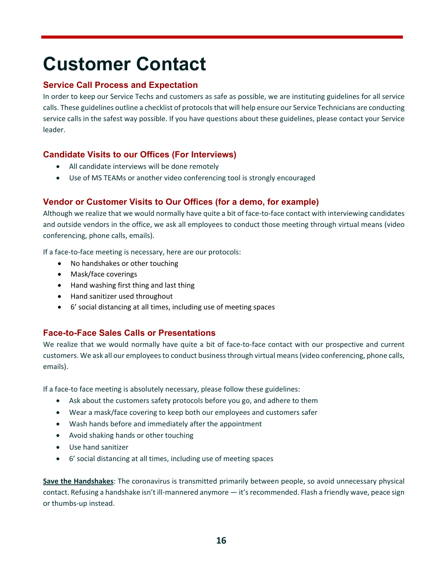# <span id="page-15-0"></span>**Customer Contact**

## **Service Call Process and Expectation**

In order to keep our Service Techs and customers as safe as possible, we are instituting guidelines for all service calls. These guidelines outline a checklist of protocols that will help ensure our Service Technicians are conducting service calls in the safest way possible. If you have questions about these guidelines, please contact your Service leader.

## **Candidate Visits to our Offices (For Interviews)**

- All candidate interviews will be done remotely
- Use of MS TEAMs or another video conferencing tool is strongly encouraged

## **Vendor or Customer Visits to Our Offices (for a demo, for example)**

Although we realize that we would normally have quite a bit of face-to-face contact with interviewing candidates and outside vendors in the office, we ask all employees to conduct those meeting through virtual means (video conferencing, phone calls, emails).

If a face-to-face meeting is necessary, here are our protocols:

- No handshakes or other touching
- Mask/face coverings
- Hand washing first thing and last thing
- Hand sanitizer used throughout
- 6' social distancing at all times, including use of meeting spaces

## **Face-to-Face Sales Calls or Presentations**

We realize that we would normally have quite a bit of face-to-face contact with our prospective and current customers. We ask all our employees to conduct business through virtual means (video conferencing, phone calls, emails).

If a face-to face meeting is absolutely necessary, please follow these guidelines:

- Ask about the customers safety protocols before you go, and adhere to them
- Wear a mask/face covering to keep both our employees and customers safer
- Wash hands before and immediately after the appointment
- Avoid shaking hands or other touching
- Use hand sanitizer
- 6' social distancing at all times, including use of meeting spaces

**Save the Handshakes**: The coronavirus is transmitted primarily between people, so avoid unnecessary physical contact. Refusing a handshake isn't ill-mannered anymore — it's recommended. Flash a friendly wave, peace sign or thumbs-up instead.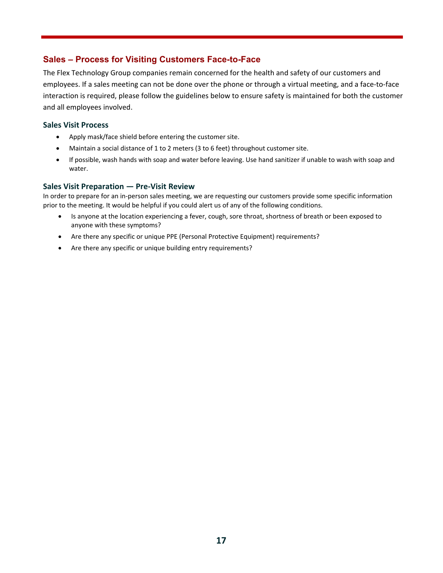### **Sales – Process for Visiting Customers Face-to-Face**

The Flex Technology Group companies remain concerned for the health and safety of our customers and employees. If a sales meeting can not be done over the phone or through a virtual meeting, and a face-to-face interaction is required, please follow the guidelines below to ensure safety is maintained for both the customer and all employees involved.

#### **Sales Visit Process**

- Apply mask/face shield before entering the customer site.
- Maintain a social distance of 1 to 2 meters (3 to 6 feet) throughout customer site.
- If possible, wash hands with soap and water before leaving. Use hand sanitizer if unable to wash with soap and water.

#### **Sales Visit Preparation — Pre-Visit Review**

In order to prepare for an in-person sales meeting, we are requesting our customers provide some specific information prior to the meeting. It would be helpful if you could alert us of any of the following conditions.

- Is anyone at the location experiencing a fever, cough, sore throat, shortness of breath or been exposed to anyone with these symptoms?
- Are there any specific or unique PPE (Personal Protective Equipment) requirements?
- Are there any specific or unique building entry requirements?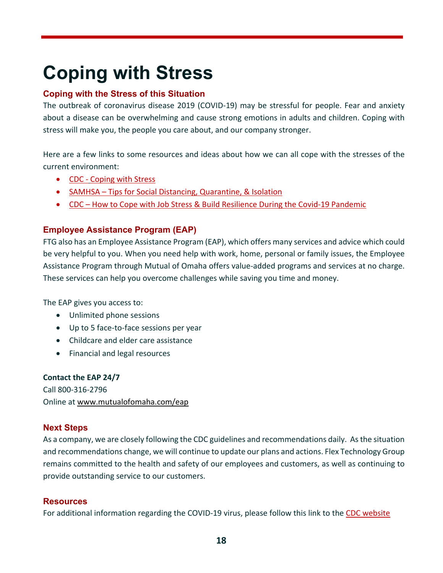# <span id="page-17-0"></span>**Coping with Stress**

## **Coping with the Stress of this Situation**

The outbreak of coronavirus disease 2019 (COVID-19) may be stressful for people. Fear and anxiety about a disease can be overwhelming and cause strong emotions in adults and children. Coping with stress will make you, the people you care about, and our company stronger.

Here are a few links to some resources and ideas about how we can all cope with the stresses of the current environment:

- CDC [Coping with](https://flexprintinc-my.sharepoint.com/personal/brooke_mitchell_flextg_com/Documents/Desktop/%E2%80%A2%09https:/www.cdc.gov/coronavirus/2019-ncov/daily-life-coping/managing-stress-anxiety.html?CDC_AA_refVal=https%3A%2F%2Fwww.cdc.gov%2Fcoronavirus%2F2019-ncov%2Fprepare%2Fmanaging-stress-anxiety.html) Stress
- SAMHSA [Tips for Social Distancing, Quarantine, & Isolation](https://flexprintinc-my.sharepoint.com/personal/brooke_mitchell_flextg_com/Documents/Desktop/%E2%80%A2%09https:/www.samhsa.gov/sites/default/files/tips-social-distancing-quarantine-isolation-031620.pdf)
- CDC [How to Cope with Job Stress & Build Resilience During the Covid-19](https://www.cdc.gov/coronavirus/2019-ncov/community/mental-health-non-healthcare.html) Pandemic

## **Employee Assistance Program (EAP)**

FTG also has an Employee Assistance Program (EAP), which offers many services and advice which could be very helpful to you. When you need help with work, home, personal or family issues, the Employee Assistance Program through Mutual of Omaha offers value-added programs and services at no charge. These services can help you overcome challenges while saving you time and money.

The EAP gives you access to:

- Unlimited phone sessions
- Up to 5 face-to-face sessions per year
- Childcare and elder care assistance
- Financial and legal resources

### **Contact the EAP 24/7**

Call 800-316-2796 Online at [www.mutualofomaha.com/eap](http://www.mutualofomaha.com/eap)

## **Next Steps**

As a company, we are closely following the CDC guidelines and recommendations daily. As the situation and recommendations change, we will continue to update our plans and actions. Flex Technology Group remains committed to the health and safety of our employees and customers, as well as continuing to provide outstanding service to our customers.

### **Resources**

For additional information regarding the COVID-19 virus, please follow this link to the [CDC website](https://www.cdc.gov/coronavirus/2019-ncov/index.html)